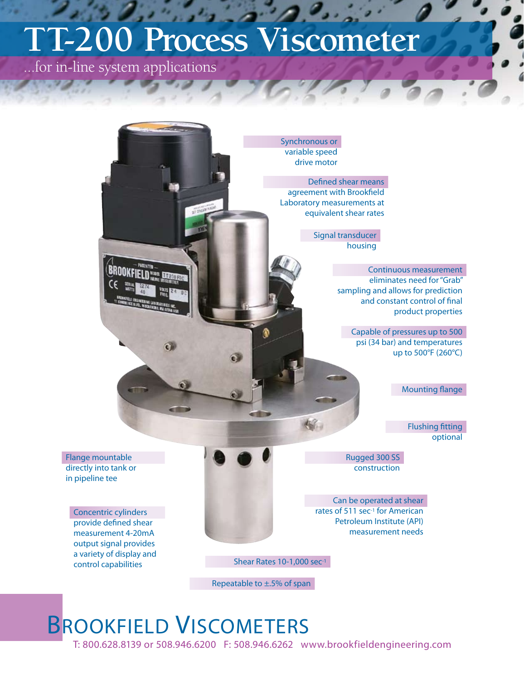# **TT-200 Process Viscometer**

...for in-line system applications



## BROOKFIELD VISCOMETERS

T: 800.628.8139 or 508.946.6200 F: 508.946.6262 www.brookfieldengineering.com